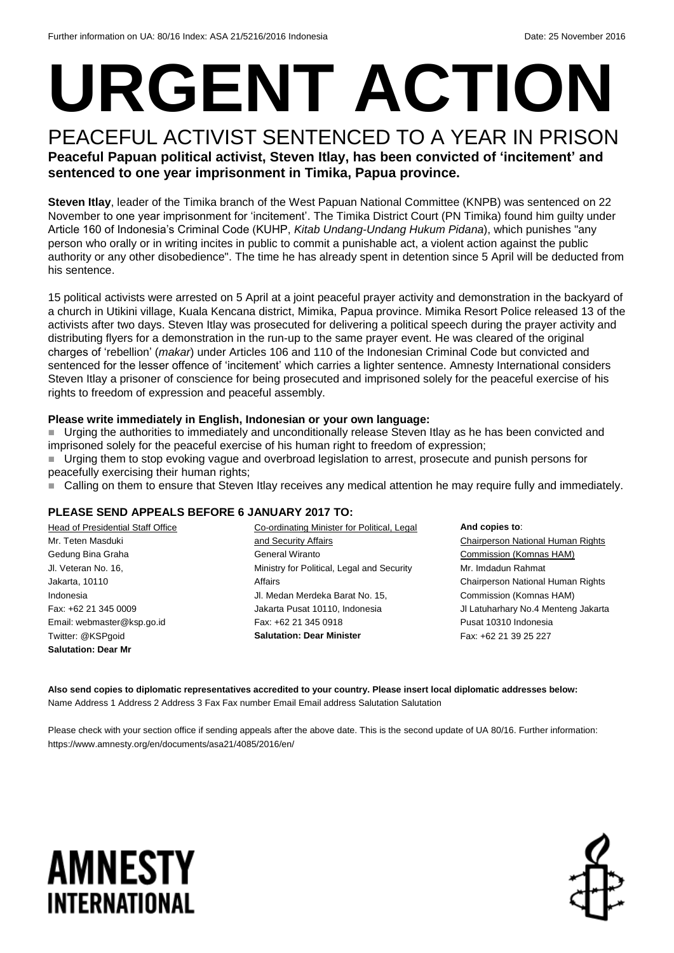# **URGENT ACTION**

### PEACEFUL ACTIVIST SENTENCED TO A YEAR IN PRISON

**Peaceful Papuan political activist, Steven Itlay, has been convicted of 'incitement' and sentenced to one year imprisonment in Timika, Papua province.** 

**Steven Itlay**, leader of the Timika branch of the West Papuan National Committee (KNPB) was sentenced on 22 November to one year imprisonment for 'incitement'. The Timika District Court (PN Timika) found him guilty under Article 160 of Indonesia's Criminal Code (KUHP, *Kitab Undang-Undang Hukum Pidana*), which punishes "any person who orally or in writing incites in public to commit a punishable act, a violent action against the public authority or any other disobedience". The time he has already spent in detention since 5 April will be deducted from his sentence.

15 political activists were arrested on 5 April at a joint peaceful prayer activity and demonstration in the backyard of a church in Utikini village, Kuala Kencana district, Mimika, Papua province. Mimika Resort Police released 13 of the activists after two days. Steven Itlay was prosecuted for delivering a political speech during the prayer activity and distributing flyers for a demonstration in the run-up to the same prayer event. He was cleared of the original charges of 'rebellion' (*makar*) under Articles 106 and 110 of the Indonesian Criminal Code but convicted and sentenced for the lesser offence of 'incitement' which carries a lighter sentence. Amnesty International considers Steven Itlay a prisoner of conscience for being prosecuted and imprisoned solely for the peaceful exercise of his rights to freedom of expression and peaceful assembly.

#### **Please write immediately in English, Indonesian or your own language:**

 Urging the authorities to immediately and unconditionally release Steven Itlay as he has been convicted and imprisoned solely for the peaceful exercise of his human right to freedom of expression;

 Urging them to stop evoking vague and overbroad legislation to arrest, prosecute and punish persons for peacefully exercising their human rights;

■ Calling on them to ensure that Steven Itlay receives any medical attention he may require fully and immediately.

#### **PLEASE SEND APPEALS BEFORE 6 JANUARY 2017 TO:**

| Head of Presidential Staff Office | Co-ordinating Minister for Political, Legal | And copies to:                           |
|-----------------------------------|---------------------------------------------|------------------------------------------|
| Mr. Teten Masduki                 | and Security Affairs                        | <b>Chairperson National Human Rights</b> |
| Gedung Bina Graha                 | General Wiranto                             | Commission (Komnas HAM)                  |
| Jl. Veteran No. 16,               | Ministry for Political, Legal and Security  | Mr. Imdadun Rahmat                       |
| Jakarta, 10110                    | Affairs                                     | Chairperson National Human Rights        |
| Indonesia                         | Jl. Medan Merdeka Barat No. 15,             | Commission (Komnas HAM)                  |
| Fax: +62 21 345 0009              | Jakarta Pusat 10110, Indonesia              | JI Latuharhary No.4 Menteng Jakarta      |
| Email: webmaster@ksp.go.id        | Fax: +62 21 345 0918                        | Pusat 10310 Indonesia                    |
| Twitter: @KSPgoid                 | <b>Salutation: Dear Minister</b>            | Fax: +62 21 39 25 227                    |
| <b>Salutation: Dear Mr</b>        |                                             |                                          |

**Also send copies to diplomatic representatives accredited to your country. Please insert local diplomatic addresses below:** Name Address 1 Address 2 Address 3 Fax Fax number Email Email address Salutation Salutation

Please check with your section office if sending appeals after the above date. This is the second update of UA 80/16. Further information: https://www.amnesty.org/en/documents/asa21/4085/2016/en/

### **AMNESTY** INTERNATIONAL